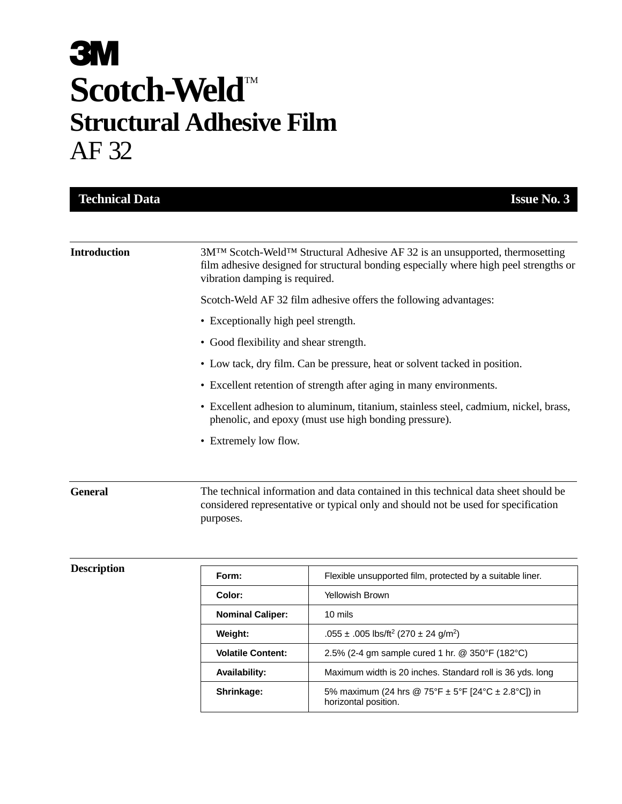# **3M** Scotch-Weld<sup>TM</sup> **Structural Adhesive Film** AF 32

| <b>Technical Data</b>                                                                                                                                                                                    |                                                                                                                                                                                                                                  | <b>Issue No. 3</b>                                                         |  |  |  |  |
|----------------------------------------------------------------------------------------------------------------------------------------------------------------------------------------------------------|----------------------------------------------------------------------------------------------------------------------------------------------------------------------------------------------------------------------------------|----------------------------------------------------------------------------|--|--|--|--|
| <b>Introduction</b>                                                                                                                                                                                      | 3M <sup>TM</sup> Scotch-Weld <sup>TM</sup> Structural Adhesive AF 32 is an unsupported, thermosetting<br>film adhesive designed for structural bonding especially where high peel strengths or<br>vibration damping is required. |                                                                            |  |  |  |  |
|                                                                                                                                                                                                          |                                                                                                                                                                                                                                  | Scotch-Weld AF 32 film adhesive offers the following advantages:           |  |  |  |  |
|                                                                                                                                                                                                          | • Exceptionally high peel strength.                                                                                                                                                                                              |                                                                            |  |  |  |  |
|                                                                                                                                                                                                          | • Good flexibility and shear strength.                                                                                                                                                                                           |                                                                            |  |  |  |  |
|                                                                                                                                                                                                          |                                                                                                                                                                                                                                  | • Low tack, dry film. Can be pressure, heat or solvent tacked in position. |  |  |  |  |
|                                                                                                                                                                                                          |                                                                                                                                                                                                                                  | • Excellent retention of strength after aging in many environments.        |  |  |  |  |
|                                                                                                                                                                                                          | • Excellent adhesion to aluminum, titanium, stainless steel, cadmium, nickel, brass,<br>phenolic, and epoxy (must use high bonding pressure).                                                                                    |                                                                            |  |  |  |  |
|                                                                                                                                                                                                          | • Extremely low flow.                                                                                                                                                                                                            |                                                                            |  |  |  |  |
| <b>General</b><br>The technical information and data contained in this technical data sheet should be<br>considered representative or typical only and should not be used for specification<br>purposes. |                                                                                                                                                                                                                                  |                                                                            |  |  |  |  |
| <b>Description</b>                                                                                                                                                                                       | Form:                                                                                                                                                                                                                            | Flexible unsupported film, protected by a suitable liner.                  |  |  |  |  |
|                                                                                                                                                                                                          | Color:                                                                                                                                                                                                                           | Yellowish Brown                                                            |  |  |  |  |
|                                                                                                                                                                                                          | <b>Nominal Caliper:</b>                                                                                                                                                                                                          | 10 mils                                                                    |  |  |  |  |
|                                                                                                                                                                                                          | Weight:                                                                                                                                                                                                                          | .055 ± .005 lbs/ft <sup>2</sup> (270 ± 24 g/m <sup>2</sup> )               |  |  |  |  |
|                                                                                                                                                                                                          | <b>Volatile Content:</b>                                                                                                                                                                                                         | 2.5% (2-4 gm sample cured 1 hr. @ 350°F (182°C)                            |  |  |  |  |
|                                                                                                                                                                                                          | Availability:                                                                                                                                                                                                                    | Maximum width is 20 inches. Standard roll is 36 yds. long                  |  |  |  |  |

**Shrinkage:** 5% maximum (24 hrs @ 75°F ± 5°F [24°C ± 2.8°C]) in

horizontal position.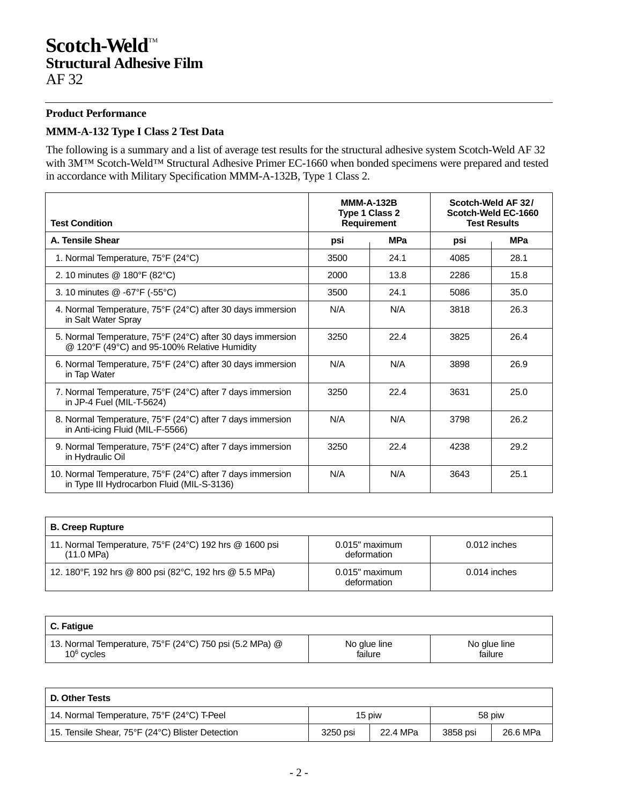#### **Product Performance**

#### **MMM-A-132 Type I Class 2 Test Data**

The following is a summary and a list of average test results for the structural adhesive system Scotch-Weld AF 32 with 3M™ Scotch-Weld™ Structural Adhesive Primer EC-1660 when bonded specimens were prepared and tested in accordance with Military Specification MMM-A-132B, Type 1 Class 2.

| <b>Test Condition</b>                                                                                      | <b>MMM-A-132B</b><br>Type 1 Class 2<br><b>Requirement</b> |            | Scotch-Weld AF 32/<br>Scotch-Weld EC-1660<br><b>Test Results</b> |            |
|------------------------------------------------------------------------------------------------------------|-----------------------------------------------------------|------------|------------------------------------------------------------------|------------|
| <b>A. Tensile Shear</b>                                                                                    | psi                                                       | <b>MPa</b> | psi                                                              | <b>MPa</b> |
| 1. Normal Temperature, 75°F (24°C)                                                                         | 3500                                                      | 24.1       | 4085                                                             | 28.1       |
| 2. 10 minutes @ 180°F (82°C)                                                                               | 2000                                                      | 13.8       | 2286                                                             | 15.8       |
| 3. 10 minutes @ -67°F (-55°C)                                                                              | 3500                                                      | 24.1       | 5086                                                             | 35.0       |
| 4. Normal Temperature, 75°F (24°C) after 30 days immersion<br>in Salt Water Spray                          | N/A                                                       | N/A        | 3818                                                             | 26.3       |
| 5. Normal Temperature, 75°F (24°C) after 30 days immersion<br>@ 120°F (49°C) and 95-100% Relative Humidity | 3250                                                      | 22.4       | 3825                                                             | 26.4       |
| 6. Normal Temperature, 75°F (24°C) after 30 days immersion<br>in Tap Water                                 | N/A                                                       | N/A        | 3898                                                             | 26.9       |
| 7. Normal Temperature, 75°F (24°C) after 7 days immersion<br>in JP-4 Fuel (MIL-T-5624)                     | 3250                                                      | 22.4       | 3631                                                             | 25.0       |
| 8. Normal Temperature, 75°F (24°C) after 7 days immersion<br>in Anti-icing Fluid (MIL-F-5566)              | N/A                                                       | N/A        | 3798                                                             | 26.2       |
| 9. Normal Temperature, 75°F (24°C) after 7 days immersion<br>in Hydraulic Oil                              | 3250                                                      | 22.4       | 4238                                                             | 29.2       |
| 10. Normal Temperature, 75°F (24°C) after 7 days immersion<br>in Type III Hydrocarbon Fluid (MIL-S-3136)   | N/A                                                       | N/A        | 3643                                                             | 25.1       |

| <b>B. Creep Rupture</b>                                                        |                                  |                |
|--------------------------------------------------------------------------------|----------------------------------|----------------|
| 11. Normal Temperature, 75°F (24°C) 192 hrs @ 1600 psi<br>$(11.0 \text{ MPa})$ | $0.015"$ maximum<br>deformation  | $0.012$ inches |
| 12. 180°F, 192 hrs @ 800 psi (82°C, 192 hrs @ 5.5 MPa)                         | $0.015$ " maximum<br>deformation | $0.014$ inches |

| ∣ C. Fatique                                            |              |              |
|---------------------------------------------------------|--------------|--------------|
| 13. Normal Temperature, 75°F (24°C) 750 psi (5.2 MPa) @ | No glue line | No glue line |
| $10^6$ cycles                                           | failure      | failure      |

| <b>D. Other Tests</b>                                          |                                  |  |          |  |
|----------------------------------------------------------------|----------------------------------|--|----------|--|
| 14. Normal Temperature, 75°F (24°C) T-Peel<br>15 piw<br>58 piw |                                  |  |          |  |
| 15. Tensile Shear, 75°F (24°C) Blister Detection               | 3250 psi<br>22.4 MPa<br>3858 psi |  | 26.6 MPa |  |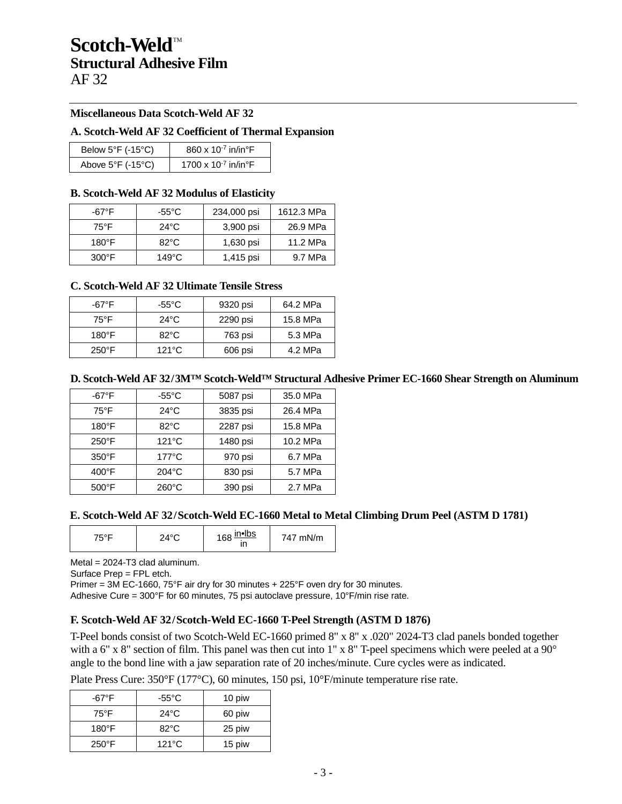#### **Miscellaneous Data Scotch-Weld AF 32**

#### **A. Scotch-Weld AF 32 Coefficient of Thermal Expansion**

| Below $5^{\circ}$ F (-15 $^{\circ}$ C) | 860 x $10^{-7}$ in/in°F         |
|----------------------------------------|---------------------------------|
| Above $5^{\circ}F$ (-15 $^{\circ}C$ )  | 1700 x 10 <sup>-7</sup> in/in°F |

#### **B. Scotch-Weld AF 32 Modulus of Elasticity**

| -67°F           | -55 $^{\circ}$ C | 234,000 psi | 1612.3 MPa |  |
|-----------------|------------------|-------------|------------|--|
| 75°F            | 24°C             | 3,900 psi   | 26.9 MPa   |  |
| $180^{\circ}$ F | 82°C             | 1,630 psi   | 11.2 MPa   |  |
| $300^{\circ}$ F | 149°C            | 1,415 psi   | 9.7 MPa    |  |

#### **C. Scotch-Weld AF 32 Ultimate Tensile Stress**

| -67°F           | -55°C          | 9320 psi | 64.2 MPa |
|-----------------|----------------|----------|----------|
| 75°F            | 24°C           | 2290 psi | 15.8 MPa |
| $180^{\circ}$ F | $82^{\circ}$ C | 763 psi  | 5.3 MPa  |
| $250^{\circ}$ F | $121^\circ C$  | 606 psi  | 4.2 MPa  |

#### **D. Scotch-Weld AF 32/3M™ Scotch-Weld™ Structural Adhesive Primer EC-1660 Shear Strength on Aluminum**

| $-67^{\circ}$ F                    | $-55^{\circ}$ C | 5087 psi | 35.0 MPa |
|------------------------------------|-----------------|----------|----------|
| $75^{\circ}$ F                     | $24^{\circ}$ C  |          | 26.4 MPa |
| $180^{\circ}$ F                    | $82^{\circ}$ C  | 2287 psi | 15.8 MPa |
| $250^{\circ}$ F                    | 121°C           | 1480 psi | 10.2 MPa |
| $350^{\circ}$ F                    | $177^{\circ}$ C |          | 6.7 MPa  |
| $204^{\circ}$ C<br>$400^{\circ}$ F |                 | 830 psi  | 5.7 MPa  |
| $260^{\circ}$ C<br>$500^{\circ}$ F |                 | 390 psi  | 2.7 MPa  |

#### **E. Scotch-Weld AF 32/Scotch-Weld EC-1660 Metal to Metal Climbing Drum Peel (ASTM D 1781)**

|  | 340C | $160$ in•lbs<br>ι σα<br>ın | 747 mN/m |
|--|------|----------------------------|----------|
|--|------|----------------------------|----------|

Metal = 2024-T3 clad aluminum.

Surface Prep = FPL etch.

Primer = 3M EC-1660, 75°F air dry for 30 minutes + 225°F oven dry for 30 minutes.

Adhesive Cure = 300°F for 60 minutes, 75 psi autoclave pressure, 10°F/min rise rate.

#### **F. Scotch-Weld AF 32/Scotch-Weld EC-1660 T-Peel Strength (ASTM D 1876)**

T-Peel bonds consist of two Scotch-Weld EC-1660 primed 8" x 8" x .020" 2024-T3 clad panels bonded together with a 6" x 8" section of film. This panel was then cut into 1" x 8" T-peel specimens which were peeled at a 90° angle to the bond line with a jaw separation rate of 20 inches/minute. Cure cycles were as indicated.

Plate Press Cure: 350°F (177°C), 60 minutes, 150 psi, 10°F/minute temperature rise rate.

| -67°F           | -55°C           | 10 piw |
|-----------------|-----------------|--------|
| 75°F            | 24°C            | 60 piw |
| $180^{\circ}$ F | 82°C            | 25 piw |
| $250^{\circ}$ F | $121^{\circ}$ C | 15 piw |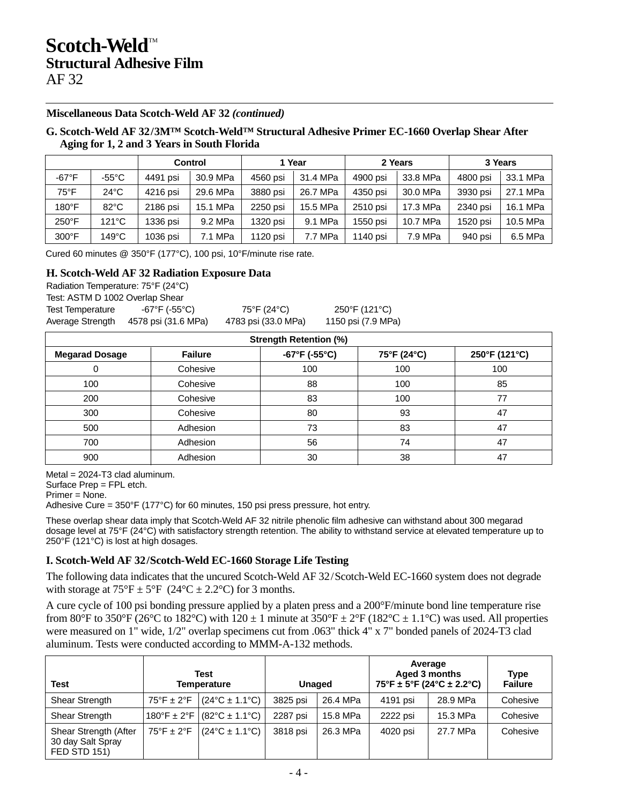#### **Miscellaneous Data Scotch-Weld AF 32** *(continued)*

#### **G. Scotch-Weld AF 32/3M™ Scotch-Weld™ Structural Adhesive Primer EC-1660 Overlap Shear After Aging for 1, 2 and 3 Years in South Florida**

|                 |                 |          | <b>Control</b> | 1 Year   |          | 2 Years  |          | 3 Years  |          |
|-----------------|-----------------|----------|----------------|----------|----------|----------|----------|----------|----------|
| $-67^{\circ}$ F | $-55^{\circ}$ C | 4491 psi | 30.9 MPa       | 4560 psi | 31.4 MPa | 4900 psi | 33.8 MPa | 4800 psi | 33.1 MPa |
| $75^{\circ}$ F  | $24^{\circ}$ C  | 4216 psi | 29.6 MPa       | 3880 psi | 26.7 MPa | 4350 psi | 30.0 MPa | 3930 psi | 27.1 MPa |
| $180^{\circ}$ F | $82^{\circ}$ C  | 2186 psi | 15.1 MPa       | 2250 psi | 15.5 MPa | 2510 psi | 17.3 MPa | 2340 psi | 16.1 MPa |
| 250°F           | $121^{\circ}$ C | 1336 psi | 9.2 MPa        | 1320 psi | 9.1 MPa  | 1550 psi | 10.7 MPa | 1520 psi | 10.5 MPa |
| $300^{\circ}$ F | 149°C           | 1036 psi | 7.1 MPa        | 1120 psi | 7.7 MPa  | 1140 psi | 7.9 MPa  | 940 psi  | 6.5 MPa  |

Cured 60 minutes @ 350°F (177°C), 100 psi, 10°F/minute rise rate.

#### **H. Scotch-Weld AF 32 Radiation Exposure Data**

| Radiation Temperature: 75°F (24°C) |                     |                     |                    |
|------------------------------------|---------------------|---------------------|--------------------|
| Test: ASTM D 1002 Overlap Shear    |                     |                     |                    |
| <b>Test Temperature</b>            | -67°F (-55°C)       | 75°F (24°C)         | 250°F (121°C)      |
| Average Strength                   | 4578 psi (31.6 MPa) | 4783 psi (33.0 MPa) | 1150 psi (7.9 MPa) |
|                                    |                     |                     |                    |

| <b>Strength Retention (%)</b> |                |                              |             |               |
|-------------------------------|----------------|------------------------------|-------------|---------------|
| <b>Megarad Dosage</b>         | <b>Failure</b> | $-67^{\circ}F(-55^{\circ}C)$ | 75°F (24°C) | 250°F (121°C) |
|                               | Cohesive       | 100                          | 100         | 100           |
| 100                           | Cohesive       | 88                           | 100         | 85            |
| 200                           | Cohesive       | 83                           | 100         | 77            |
| 300                           | Cohesive       | 80                           | 93          | 47            |
| 500                           | Adhesion       | 73                           | 83          | 47            |
| 700                           | Adhesion       | 56                           | 74          | 47            |
| 900                           | Adhesion       | 30                           | 38          | 47            |

Metal = 2024-T3 clad aluminum.

Surface Prep = FPL etch.

Primer = None.

Adhesive Cure = 350°F (177°C) for 60 minutes, 150 psi press pressure, hot entry.

These overlap shear data imply that Scotch-Weld AF 32 nitrile phenolic film adhesive can withstand about 300 megarad dosage level at 75°F (24°C) with satisfactory strength retention. The ability to withstand service at elevated temperature up to 250°F (121°C) is lost at high dosages.

#### **I. Scotch-Weld AF 32/Scotch-Weld EC-1660 Storage Life Testing**

The following data indicates that the uncured Scotch-Weld AF 32/Scotch-Weld EC-1660 system does not degrade with storage at  $75^{\circ}F \pm 5^{\circ}F (24^{\circ}C \pm 2.2^{\circ}C)$  for 3 months.

A cure cycle of 100 psi bonding pressure applied by a platen press and a 200°F/minute bond line temperature rise from 80°F to 350°F (26°C to 182°C) with  $120 \pm 1$  minute at 350°F  $\pm 2$ °F (182°C  $\pm 1.1$ °C) was used. All properties were measured on 1" wide, 1/2" overlap specimens cut from .063" thick 4" x 7" bonded panels of 2024-T3 clad aluminum. Tests were conducted according to MMM-A-132 methods.

| Test                                                              |                      | Test<br><b>Temperature</b>       | <b>Unaged</b> |          |          | Average<br>Aged 3 months<br>$75^{\circ}$ F ± 5 $^{\circ}$ F (24 $^{\circ}$ C ± 2.2 $^{\circ}$ C) | Type<br><b>Failure</b> |
|-------------------------------------------------------------------|----------------------|----------------------------------|---------------|----------|----------|--------------------------------------------------------------------------------------------------|------------------------|
| <b>Shear Strength</b>                                             | $75^{\circ}$ F ± 2°F | $(24^{\circ}C \pm 1.1^{\circ}C)$ | 3825 psi      | 26.4 MPa | 4191 psi | 28.9 MPa                                                                                         | Cohesive               |
| <b>Shear Strength</b>                                             | $180^\circ$ F ± 2°F  | $(82^{\circ}C \pm 1.1^{\circ}C)$ | 2287 psi      | 15.8 MPa | 2222 psi | 15.3 MPa                                                                                         | Cohesive               |
| Shear Strength (After<br>30 day Salt Spray<br><b>FED STD 151)</b> | $75^{\circ}$ F ± 2°F | $(24^{\circ}C \pm 1.1^{\circ}C)$ | 3818 psi      | 26.3 MPa | 4020 psi | 27.7 MPa                                                                                         | Cohesive               |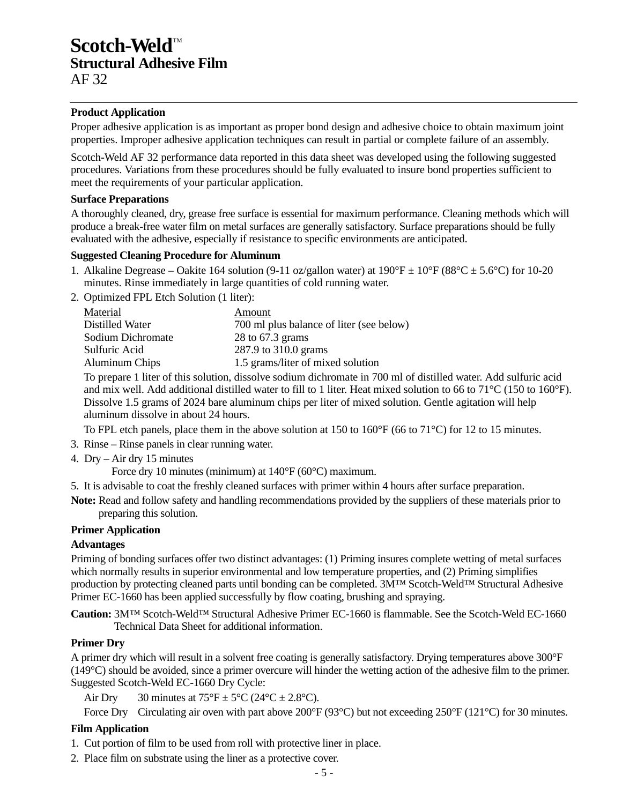#### **Product Application**

Proper adhesive application is as important as proper bond design and adhesive choice to obtain maximum joint properties. Improper adhesive application techniques can result in partial or complete failure of an assembly.

Scotch-Weld AF 32 performance data reported in this data sheet was developed using the following suggested procedures. Variations from these procedures should be fully evaluated to insure bond properties sufficient to meet the requirements of your particular application.

#### **Surface Preparations**

A thoroughly cleaned, dry, grease free surface is essential for maximum performance. Cleaning methods which will produce a break-free water film on metal surfaces are generally satisfactory. Surface preparations should be fully evaluated with the adhesive, especially if resistance to specific environments are anticipated.

#### **Suggested Cleaning Procedure for Aluminum**

- 1. Alkaline Degrease Oakite 164 solution (9-11 oz/gallon water) at  $190^{\circ}F \pm 10^{\circ}F$  (88°C  $\pm$  5.6°C) for 10-20 minutes. Rinse immediately in large quantities of cold running water.
- 2. Optimized FPL Etch Solution (1 liter):

| Material          | Amount                                   |
|-------------------|------------------------------------------|
| Distilled Water   | 700 ml plus balance of liter (see below) |
| Sodium Dichromate | 28 to $67.3$ grams                       |
| Sulfuric Acid     | 287.9 to 310.0 grams                     |
| Aluminum Chips    | 1.5 grams/liter of mixed solution        |

To prepare 1 liter of this solution, dissolve sodium dichromate in 700 ml of distilled water. Add sulfuric acid and mix well. Add additional distilled water to fill to 1 liter. Heat mixed solution to 66 to 71°C (150 to 160°F). Dissolve 1.5 grams of 2024 bare aluminum chips per liter of mixed solution. Gentle agitation will help aluminum dissolve in about 24 hours.

To FPL etch panels, place them in the above solution at 150 to 160°F (66 to 71°C) for 12 to 15 minutes.

- 3. Rinse Rinse panels in clear running water.
- 4. Dry Air dry 15 minutes
	- Force dry 10 minutes (minimum) at 140°F (60°C) maximum.

5. It is advisable to coat the freshly cleaned surfaces with primer within 4 hours after surface preparation.

**Note:** Read and follow safety and handling recommendations provided by the suppliers of these materials prior to preparing this solution.

#### **Primer Application**

#### **Advantages**

Priming of bonding surfaces offer two distinct advantages: (1) Priming insures complete wetting of metal surfaces which normally results in superior environmental and low temperature properties, and (2) Priming simplifies production by protecting cleaned parts until bonding can be completed. 3M™ Scotch-Weld™ Structural Adhesive Primer EC-1660 has been applied successfully by flow coating, brushing and spraying.

**Caution:** 3M™ Scotch-Weld™ Structural Adhesive Primer EC-1660 is flammable. See the Scotch-Weld EC-1660 Technical Data Sheet for additional information.

#### **Primer Dry**

A primer dry which will result in a solvent free coating is generally satisfactory. Drying temperatures above 300°F (149°C) should be avoided, since a primer overcure will hinder the wetting action of the adhesive film to the primer. Suggested Scotch-Weld EC-1660 Dry Cycle:

Air Dry 30 minutes at  $75^{\circ}F \pm 5^{\circ}C$  (24°C  $\pm$  2.8°C).

Force Dry Circulating air oven with part above 200°F (93°C) but not exceeding 250°F (121°C) for 30 minutes.

#### **Film Application**

1. Cut portion of film to be used from roll with protective liner in place.

2. Place film on substrate using the liner as a protective cover.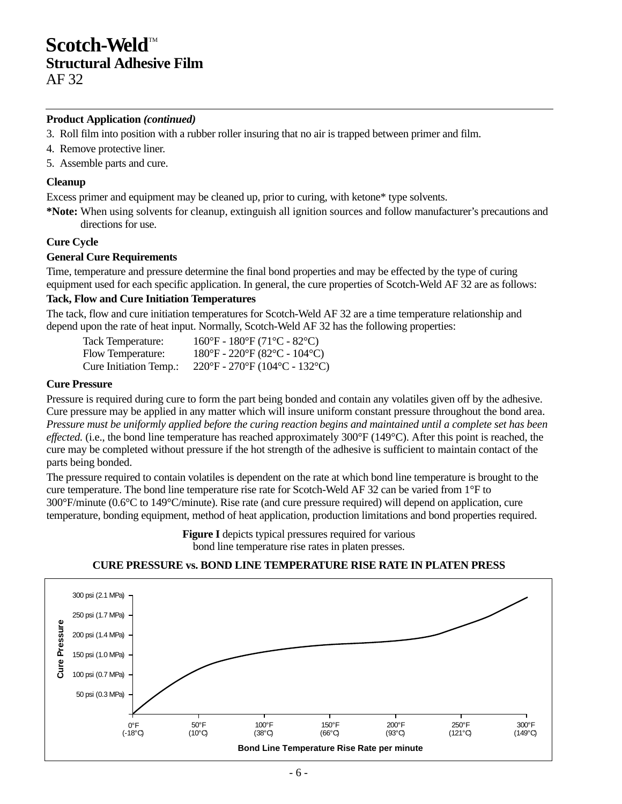AF 32

#### **Product Application** *(continued)*

- 3. Roll film into position with a rubber roller insuring that no air is trapped between primer and film.
- 4. Remove protective liner.
- 5. Assemble parts and cure.

#### **Cleanup**

Excess primer and equipment may be cleaned up, prior to curing, with ketone\* type solvents.

**\*Note:** When using solvents for cleanup, extinguish all ignition sources and follow manufacturer's precautions and directions for use.

#### **Cure Cycle**

#### **General Cure Requirements**

Time, temperature and pressure determine the final bond properties and may be effected by the type of curing equipment used for each specific application. In general, the cure properties of Scotch-Weld AF 32 are as follows:

#### **Tack, Flow and Cure Initiation Temperatures**

The tack, flow and cure initiation temperatures for Scotch-Weld AF 32 are a time temperature relationship and depend upon the rate of heat input. Normally, Scotch-Weld AF 32 has the following properties:

| Tack Temperature:             | $160^{\circ}$ F - 180 $^{\circ}$ F (71 $^{\circ}$ C - 82 $^{\circ}$ C)   |
|-------------------------------|--------------------------------------------------------------------------|
| Flow Temperature:             | $180^{\circ}$ F - 220 $^{\circ}$ F (82 $^{\circ}$ C - 104 $^{\circ}$ C)  |
| <b>Cure Initiation Temp.:</b> | $220^{\circ}$ F - 270 $^{\circ}$ F (104 $^{\circ}$ C - 132 $^{\circ}$ C) |

#### **Cure Pressure**

Pressure is required during cure to form the part being bonded and contain any volatiles given off by the adhesive. Cure pressure may be applied in any matter which will insure uniform constant pressure throughout the bond area. *Pressure must be uniformly applied before the curing reaction begins and maintained until a complete set has been effected.* (i.e., the bond line temperature has reached approximately 300°F (149°C). After this point is reached, the cure may be completed without pressure if the hot strength of the adhesive is sufficient to maintain contact of the parts being bonded.

The pressure required to contain volatiles is dependent on the rate at which bond line temperature is brought to the cure temperature. The bond line temperature rise rate for Scotch-Weld AF 32 can be varied from 1°F to 300°F/minute (0.6°C to 149°C/minute). Rise rate (and cure pressure required) will depend on application, cure temperature, bonding equipment, method of heat application, production limitations and bond properties required.

> **Figure I** depicts typical pressures required for various bond line temperature rise rates in platen presses.

#### 300 psi (2.1 MPa) 250 psi (1.7 MPa) Cure Pressure **Cure Pressure**200 psi (1.4 MPa) 150 psi (1.0 MPa) 100 psi (0.7 MPa) 50 psi (0.3 MPa) 100°F 150°F 200°F 250°F 0°F 300°F 50°F (10°C) (-18°C) (93°C) (121°C) (149°C) (38°C) (66°C) **Bond Line Temperature Rise Rate per minute**

#### **CURE PRESSURE vs. BOND LINE TEMPERATURE RISE RATE IN PLATEN PRESS**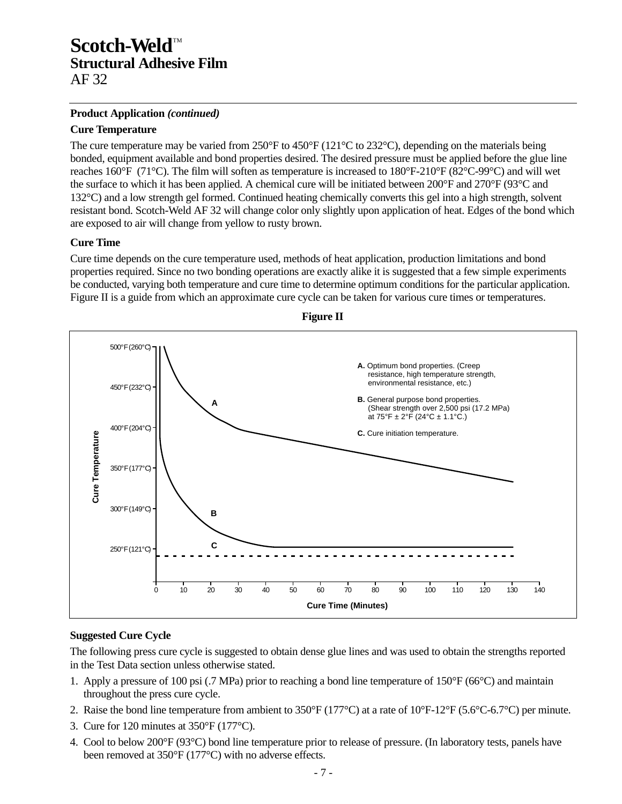#### **Product Application** *(continued)*

#### **Cure Temperature**

The cure temperature may be varied from 250°F to 450°F (121°C to 232°C), depending on the materials being bonded, equipment available and bond properties desired. The desired pressure must be applied before the glue line reaches 160°F (71°C). The film will soften as temperature is increased to 180°F-210°F (82°C-99°C) and will wet the surface to which it has been applied. A chemical cure will be initiated between 200°F and 270°F (93°C and 132°C) and a low strength gel formed. Continued heating chemically converts this gel into a high strength, solvent resistant bond. Scotch-Weld AF 32 will change color only slightly upon application of heat. Edges of the bond which are exposed to air will change from yellow to rusty brown.

#### **Cure Time**

Cure time depends on the cure temperature used, methods of heat application, production limitations and bond properties required. Since no two bonding operations are exactly alike it is suggested that a few simple experiments be conducted, varying both temperature and cure time to determine optimum conditions for the particular application. Figure II is a guide from which an approximate cure cycle can be taken for various cure times or temperatures.





#### **Suggested Cure Cycle**

The following press cure cycle is suggested to obtain dense glue lines and was used to obtain the strengths reported in the Test Data section unless otherwise stated.

- 1. Apply a pressure of 100 psi (.7 MPa) prior to reaching a bond line temperature of 150°F (66°C) and maintain throughout the press cure cycle.
- 2. Raise the bond line temperature from ambient to  $350^{\circ}F (177^{\circ}C)$  at a rate of  $10^{\circ}F-12^{\circ}F (5.6^{\circ}C-6.7^{\circ}C)$  per minute.
- 3. Cure for 120 minutes at 350°F (177°C).
- 4. Cool to below 200°F (93°C) bond line temperature prior to release of pressure. (In laboratory tests, panels have been removed at 350°F (177°C) with no adverse effects.